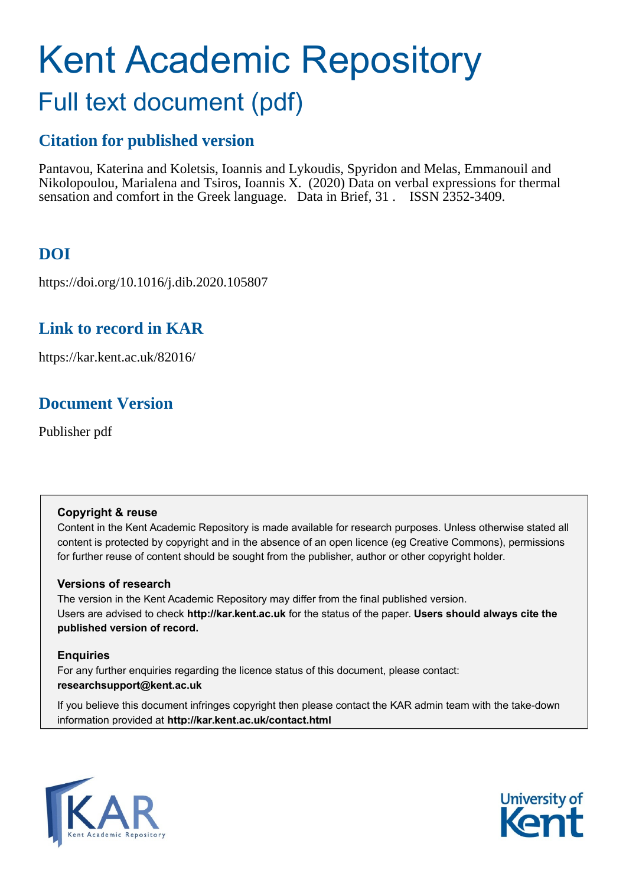# Kent Academic Repository Full text document (pdf)

# **Citation for published version**

Pantavou, Katerina and Koletsis, Ioannis and Lykoudis, Spyridon and Melas, Emmanouil and Nikolopoulou, Marialena and Tsiros, Ioannis X. (2020) Data on verbal expressions for thermal sensation and comfort in the Greek language. Data in Brief, 31 . ISSN 2352-3409.

# **DOI**

https://doi.org/10.1016/j.dib.2020.105807

### **Link to record in KAR**

https://kar.kent.ac.uk/82016/

# **Document Version**

Publisher pdf

### **Copyright & reuse**

Content in the Kent Academic Repository is made available for research purposes. Unless otherwise stated all content is protected by copyright and in the absence of an open licence (eg Creative Commons), permissions for further reuse of content should be sought from the publisher, author or other copyright holder.

### **Versions of research**

The version in the Kent Academic Repository may differ from the final published version. Users are advised to check **http://kar.kent.ac.uk** for the status of the paper. **Users should always cite the published version of record.**

### **Enquiries**

For any further enquiries regarding the licence status of this document, please contact: **researchsupport@kent.ac.uk**

If you believe this document infringes copyright then please contact the KAR admin team with the take-down information provided at **http://kar.kent.ac.uk/contact.html**



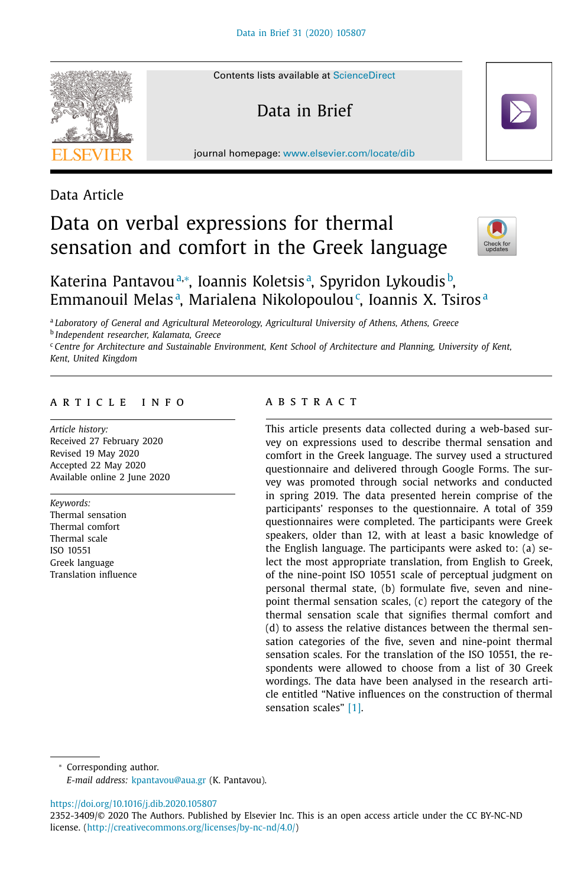Contents lists available at [ScienceDirect](http://www.ScienceDirect.com)

Data in Brief

journal homepage: [www.elsevier.com/locate/dib](http://www.elsevier.com/locate/dib)



Data Article

# Data on verbal expressions for thermal sensation and comfort in the Greek language



### Katerina Pantavouª∗, Ioannis Koletsisª, Spyridon Lykoudis<sup>b</sup>, Emmanouil Melasª, Marialena Nikolopoulou<sup>c</sup>, Ioannis X. Tsirosª

<sup>a</sup> *Laboratory of General and Agricultural Meteorology, Agricultural University of Athens, Athens, Greece*

<sup>b</sup> *Independent researcher, Kalamata, Greece*

<sup>c</sup> *Centre for Architecture and Sustainable Environment, Kent School of Architecture and Planning, University of Kent, Kent, United Kingdom*

#### a r t i c l e i n f o

*Article history:* Received 27 February 2020 Revised 19 May 2020 Accepted 22 May 2020 Available online 2 June 2020

*Keywords:* Thermal sensation Thermal comfort Thermal scale ISO 10551 Greek language Translation influence

#### A B S T R A C T

This article presents data collected during a web-based survey on expressions used to describe thermal sensation and comfort in the Greek language. The survey used a structured questionnaire and delivered through Google Forms. The survey was promoted through social networks and conducted in spring 2019. The data presented herein comprise of the participants' responses to the questionnaire. A total of 359 questionnaires were completed. The participants were Greek speakers, older than 12, with at least a basic knowledge of the English language. The participants were asked to: (a) select the most appropriate translation, from English to Greek, of the nine-point ISO 10551 scale of perceptual judgment on personal thermal state, (b) formulate five, seven and ninepoint thermal sensation scales, (c) report the category of the thermal sensation scale that signifies thermal comfort and (d) to assess the relative distances between the thermal sensation categories of the five, seven and nine-point thermal sensation scales. For the translation of the ISO 10551, the respondents were allowed to choose from a list of 30 Greek wordings. The data have been analysed in the research article entitled "Native influences on the construction of thermal sensation scales" [1].

<sup>∗</sup> Corresponding author.

*E-mail address:* [kpantavou@aua.gr](mailto:kpantavou@aua.gr) (K. Pantavou).

<https://doi.org/10.1016/j.dib.2020.105807>

<sup>2352-3409/© 2020</sup> The Authors. Published by Elsevier Inc. This is an open access article under the CC BY-NC-ND license. [\(http://creativecommons.org/licenses/by-nc-nd/4.0/\)](http://creativecommons.org/licenses/by-nc-nd/4.0/)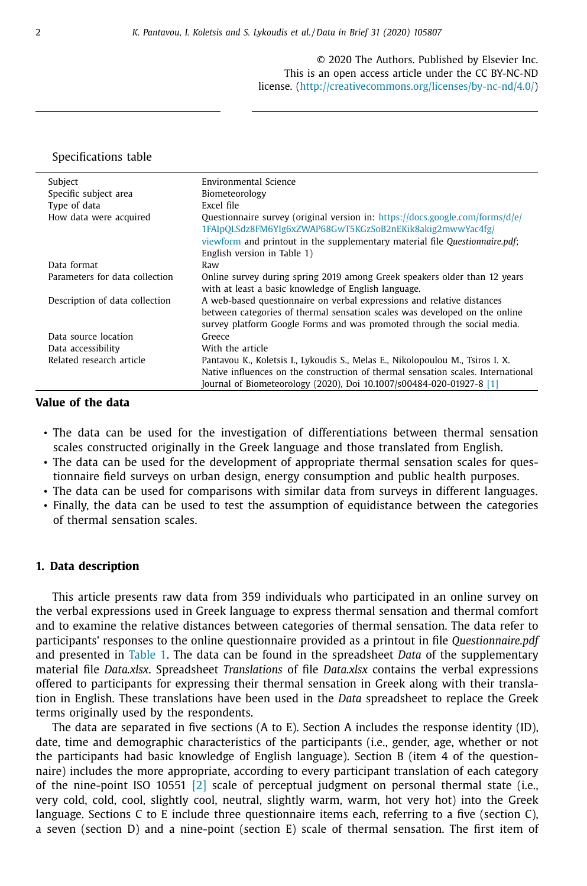© 2020 The Authors. Published by Elsevier Inc. This is an open access article under the CC BY-NC-ND license. [\(http://creativecommons.org/licenses/by-nc-nd/4.0/\)](http://creativecommons.org/licenses/by-nc-nd/4.0/)

#### Specifications table

| Subject                        | Environmental Science                                                                                                                                                                                                                      |  |
|--------------------------------|--------------------------------------------------------------------------------------------------------------------------------------------------------------------------------------------------------------------------------------------|--|
| Specific subject area          | Biometeorology                                                                                                                                                                                                                             |  |
| Type of data                   | Excel file                                                                                                                                                                                                                                 |  |
| How data were acquired         | Ouestionnaire survey (original version in: https://docs.google.com/forms/d/e/<br>1FAIpQLSdz8FM6YIg6xZWAP68GwT5KGzSoB2nEKik8akig2mwwYac4fg/                                                                                                 |  |
|                                | viewform and printout in the supplementary material file Questionnaire.pdf;                                                                                                                                                                |  |
|                                | English version in Table 1)                                                                                                                                                                                                                |  |
| Data format                    | Raw                                                                                                                                                                                                                                        |  |
| Parameters for data collection | Online survey during spring 2019 among Greek speakers older than 12 years<br>with at least a basic knowledge of English language.                                                                                                          |  |
| Description of data collection | A web-based questionnaire on verbal expressions and relative distances<br>between categories of thermal sensation scales was developed on the online<br>survey platform Google Forms and was promoted through the social media.            |  |
| Data source location           | Greece                                                                                                                                                                                                                                     |  |
| Data accessibility             | With the article                                                                                                                                                                                                                           |  |
| Related research article       | Pantavou K., Koletsis I., Lykoudis S., Melas E., Nikolopoulou M., Tsiros I. X.<br>Native influences on the construction of thermal sensation scales. International<br>Journal of Biometeorology (2020), Doi 10.1007/s00484-020-01927-8 [1] |  |

#### **Value of the data**

- The data can be used for the investigation of differentiations between thermal sensation scales constructed originally in the Greek language and those translated from English.
- The data can be used for the development of appropriate thermal sensation scales for questionnaire field surveys on urban design, energy consumption and public health purposes.
- The data can be used for comparisons with similar data from surveys in different languages.
- Finally, the data can be used to test the assumption of equidistance between the categories of thermal sensation scales.

#### **1. Data description**

This article presents raw data from 359 individuals who participated in an online survey on the verbal expressions used in Greek language to express thermal sensation and thermal comfort and to examine the relative distances between categories of thermal sensation. The data refer to participants' responses to the online questionnaire provided as a printout in file *Questionnaire.pdf* and presented in Table 1. The data can be found in the spreadsheet *Data* of the supplementary material file *Data.xlsx*. Spreadsheet *Translations* of file *Data.xlsx* contains the verbal expressions offered to participants for expressing their thermal sensation in Greek along with their translation in English. These translations have been used in the *Data* spreadsheet to replace the Greek terms originally used by the respondents.

The data are separated in five sections (A to E). Section A includes the response identity (ID), date, time and demographic characteristics of the participants (i.e., gender, age, whether or not the participants had basic knowledge of English language). Section B (item 4 of the questionnaire) includes the more appropriate, according to every participant translation of each category of the nine-point ISO 10551 [2] scale of perceptual judgment on personal thermal state (i.e., very cold, cold, cool, slightly cool, neutral, slightly warm, warm, hot very hot) into the Greek language. Sections C to E include three questionnaire items each, referring to a five (section C), a seven (section D) and a nine-point (section E) scale of thermal sensation. The first item of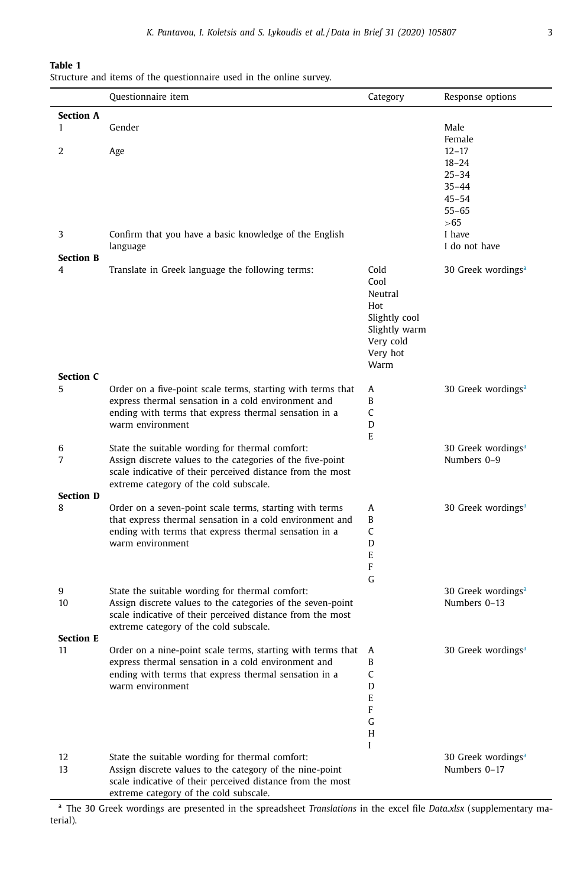#### **Table 1**

Structure and items of the questionnaire used in the online survey.

|                     | Questionnaire item                                                                                                       | Category                   | Response options               |
|---------------------|--------------------------------------------------------------------------------------------------------------------------|----------------------------|--------------------------------|
| <b>Section A</b>    |                                                                                                                          |                            |                                |
| $\mathbf{1}$        | Gender                                                                                                                   |                            | Male                           |
|                     |                                                                                                                          |                            | Female                         |
| $\overline{2}$      | Age                                                                                                                      |                            | $12 - 17$                      |
|                     |                                                                                                                          |                            | $18 - 24$                      |
|                     |                                                                                                                          |                            | $25 - 34$<br>$35 - 44$         |
|                     |                                                                                                                          |                            | $45 - 54$                      |
|                     |                                                                                                                          |                            | $55 - 65$                      |
|                     |                                                                                                                          |                            | > 65                           |
| 3                   | Confirm that you have a basic knowledge of the English                                                                   |                            | I have                         |
|                     | language                                                                                                                 |                            | I do not have                  |
| <b>Section B</b>    |                                                                                                                          |                            |                                |
| 4                   | Translate in Greek language the following terms:                                                                         | Cold                       | 30 Greek wordings <sup>a</sup> |
|                     |                                                                                                                          | Cool                       |                                |
|                     |                                                                                                                          | Neutral                    |                                |
|                     |                                                                                                                          | Hot                        |                                |
|                     |                                                                                                                          | Slightly cool              |                                |
|                     |                                                                                                                          | Slightly warm<br>Very cold |                                |
|                     |                                                                                                                          | Very hot                   |                                |
|                     |                                                                                                                          | Warm                       |                                |
| <b>Section C</b>    |                                                                                                                          |                            |                                |
| 5                   | Order on a five-point scale terms, starting with terms that                                                              | Α                          | 30 Greek wordings <sup>a</sup> |
|                     | express thermal sensation in a cold environment and                                                                      | B                          |                                |
|                     | ending with terms that express thermal sensation in a                                                                    | C                          |                                |
|                     | warm environment                                                                                                         | D                          |                                |
|                     |                                                                                                                          | E                          |                                |
| 6<br>$\overline{7}$ | State the suitable wording for thermal comfort:                                                                          |                            | 30 Greek wordings <sup>a</sup> |
|                     | Assign discrete values to the categories of the five-point<br>scale indicative of their perceived distance from the most |                            | Numbers 0-9                    |
|                     | extreme category of the cold subscale.                                                                                   |                            |                                |
| <b>Section D</b>    |                                                                                                                          |                            |                                |
| 8                   | Order on a seven-point scale terms, starting with terms                                                                  | A                          | 30 Greek wordings <sup>a</sup> |
|                     | that express thermal sensation in a cold environment and                                                                 | B                          |                                |
|                     | ending with terms that express thermal sensation in a                                                                    | $\mathsf{C}$               |                                |
|                     | warm environment                                                                                                         | D                          |                                |
|                     |                                                                                                                          | E                          |                                |
|                     |                                                                                                                          | F                          |                                |
| 9                   | State the suitable wording for thermal comfort:                                                                          | G                          | 30 Greek wordings <sup>a</sup> |
| 10                  | Assign discrete values to the categories of the seven-point                                                              |                            | Numbers 0-13                   |
|                     | scale indicative of their perceived distance from the most                                                               |                            |                                |
|                     | extreme category of the cold subscale.                                                                                   |                            |                                |
| <b>Section E</b>    |                                                                                                                          |                            |                                |
| 11                  | Order on a nine-point scale terms, starting with terms that                                                              | A                          | 30 Greek wordings <sup>a</sup> |
|                     | express thermal sensation in a cold environment and                                                                      | B                          |                                |
|                     | ending with terms that express thermal sensation in a                                                                    | C                          |                                |
|                     | warm environment                                                                                                         | D<br>E                     |                                |
|                     |                                                                                                                          | F                          |                                |
|                     |                                                                                                                          | G                          |                                |
|                     |                                                                                                                          | H                          |                                |
|                     |                                                                                                                          | I                          |                                |
| 12                  | State the suitable wording for thermal comfort:                                                                          |                            | 30 Greek wordings <sup>a</sup> |
| 13                  | Assign discrete values to the category of the nine-point                                                                 |                            | Numbers 0-17                   |
|                     | scale indicative of their perceived distance from the most                                                               |                            |                                |
|                     | extreme category of the cold subscale.                                                                                   |                            |                                |

<sup>a</sup> The 30 Greek wordings are presented in the spreadsheet *Translations* in the excel file *Data.xlsx* (supplementary material).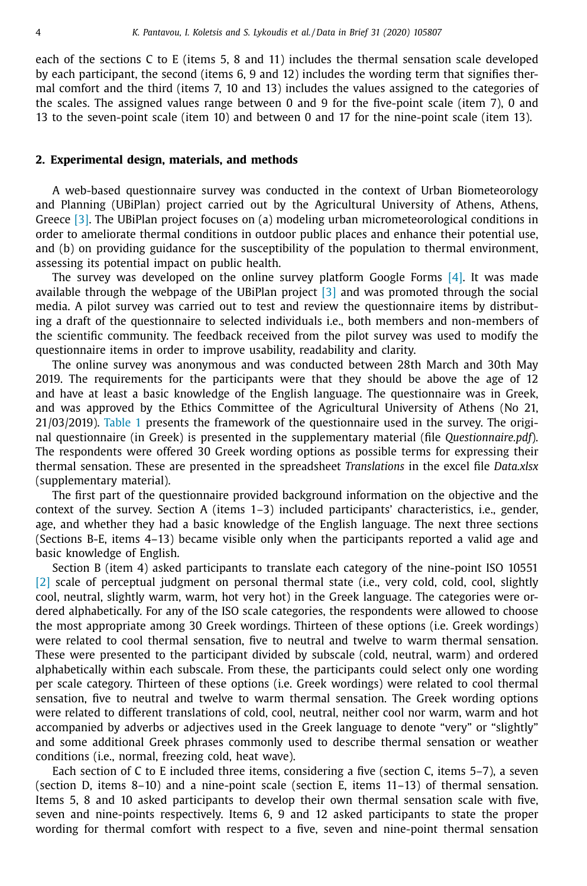each of the sections C to E (items 5, 8 and 11) includes the thermal sensation scale developed by each participant, the second (items 6, 9 and 12) includes the wording term that signifies thermal comfort and the third (items 7, 10 and 13) includes the values assigned to the categories of the scales. The assigned values range between 0 and 9 for the five-point scale (item 7), 0 and 13 to the seven-point scale (item 10) and between 0 and 17 for the nine-point scale (item 13).

#### **2. Experimental design, materials, and methods**

A web-based questionnaire survey was conducted in the context of Urban Biometeorology and Planning (UBiPlan) project carried out by the Agricultural University of Athens, Athens, Greece [3]. The UBiPlan project focuses on (a) modeling urban micrometeorological conditions in order to ameliorate thermal conditions in outdoor public places and enhance their potential use, and (b) on providing guidance for the susceptibility of the population to thermal environment, assessing its potential impact on public health.

The survey was developed on the online survey platform Google Forms  $[4]$ . It was made available through the webpage of the UBiPlan project [3] and was promoted through the social media. A pilot survey was carried out to test and review the questionnaire items by distributing a draft of the questionnaire to selected individuals i.e., both members and non-members of the scientific community. The feedback received from the pilot survey was used to modify the questionnaire items in order to improve usability, readability and clarity.

The online survey was anonymous and was conducted between 28th March and 30th May 2019. The requirements for the participants were that they should be above the age of 12 and have at least a basic knowledge of the English language. The questionnaire was in Greek, and was approved by the Ethics Committee of the Agricultural University of Athens (No 21, 21/03/2019). Table 1 presents the framework of the questionnaire used in the survey. The original questionnaire (in Greek) is presented in the supplementary material (file *Questionnaire.pdf*). The respondents were offered 30 Greek wording options as possible terms for expressing their thermal sensation. These are presented in the spreadsheet *Translations* in the excel file *Data.xlsx* (supplementary material).

The first part of the questionnaire provided background information on the objective and the context of the survey. Section A (items 1–3) included participants' characteristics, i.e., gender, age, and whether they had a basic knowledge of the English language. The next three sections (Sections B-E, items 4–13) became visible only when the participants reported a valid age and basic knowledge of English.

Section B (item 4) asked participants to translate each category of the nine-point ISO 10551 [2] scale of perceptual judgment on personal thermal state (i.e., very cold, cold, cool, slightly cool, neutral, slightly warm, warm, hot very hot) in the Greek language. The categories were ordered alphabetically. For any of the ISO scale categories, the respondents were allowed to choose the most appropriate among 30 Greek wordings. Thirteen of these options (i.e. Greek wordings) were related to cool thermal sensation, five to neutral and twelve to warm thermal sensation. These were presented to the participant divided by subscale (cold, neutral, warm) and ordered alphabetically within each subscale. From these, the participants could select only one wording per scale category. Thirteen of these options (i.e. Greek wordings) were related to cool thermal sensation, five to neutral and twelve to warm thermal sensation. The Greek wording options were related to different translations of cold, cool, neutral, neither cool nor warm, warm and hot accompanied by adverbs or adjectives used in the Greek language to denote "very" or "slightly" and some additional Greek phrases commonly used to describe thermal sensation or weather conditions (i.e., normal, freezing cold, heat wave).

Each section of C to E included three items, considering a five (section C, items 5–7), a seven (section D, items 8–10) and a nine-point scale (section E, items 11–13) of thermal sensation. Items 5, 8 and 10 asked participants to develop their own thermal sensation scale with five, seven and nine-points respectively. Items 6, 9 and 12 asked participants to state the proper wording for thermal comfort with respect to a five, seven and nine-point thermal sensation